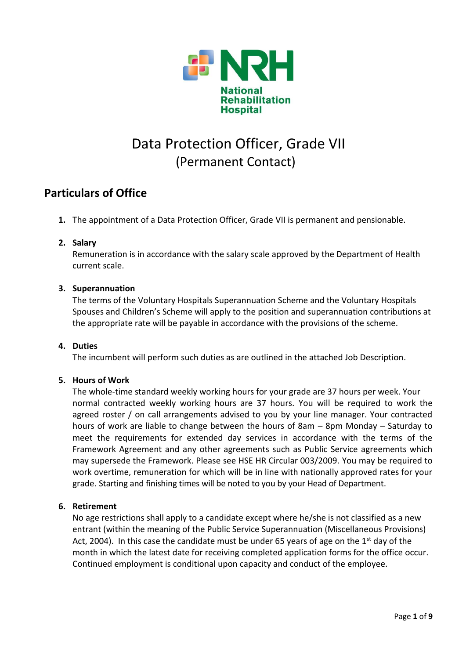

# Data Protection Officer, Grade VII (Permanent Contact)

## **Particulars of Office**

**1.** The appointment of a Data Protection Officer, Grade VII is permanent and pensionable.

## **2. Salary**

Remuneration is in accordance with the salary scale approved by the Department of Health current scale.

## **3. Superannuation**

The terms of the Voluntary Hospitals Superannuation Scheme and the Voluntary Hospitals Spouses and Children's Scheme will apply to the position and superannuation contributions at the appropriate rate will be payable in accordance with the provisions of the scheme.

## **4. Duties**

The incumbent will perform such duties as are outlined in the attached Job Description.

## **5. Hours of Work**

The whole-time standard weekly working hours for your grade are 37 hours per week. Your normal contracted weekly working hours are 37 hours. You will be required to work the agreed roster / on call arrangements advised to you by your line manager. Your contracted hours of work are liable to change between the hours of 8am – 8pm Monday – Saturday to meet the requirements for extended day services in accordance with the terms of the Framework Agreement and any other agreements such as Public Service agreements which may supersede the Framework. Please see HSE HR Circular 003/2009. You may be required to work overtime, remuneration for which will be in line with nationally approved rates for your grade. Starting and finishing times will be noted to you by your Head of Department.

## **6. Retirement**

No age restrictions shall apply to a candidate except where he/she is not classified as a new entrant (within the meaning of the Public Service Superannuation (Miscellaneous Provisions) Act, 2004). In this case the candidate must be under 65 years of age on the  $1<sup>st</sup>$  day of the month in which the latest date for receiving completed application forms for the office occur. Continued employment is conditional upon capacity and conduct of the employee.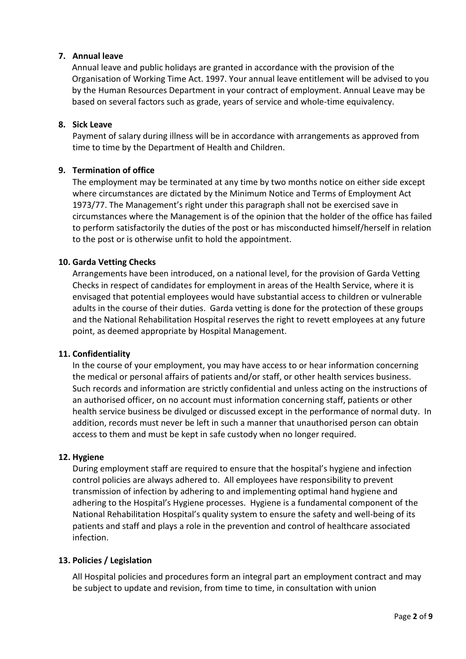### **7. Annual leave**

Annual leave and public holidays are granted in accordance with the provision of the Organisation of Working Time Act. 1997. Your annual leave entitlement will be advised to you by the Human Resources Department in your contract of employment. Annual Leave may be based on several factors such as grade, years of service and whole-time equivalency.

#### **8. Sick Leave**

Payment of salary during illness will be in accordance with arrangements as approved from time to time by the Department of Health and Children.

### **9. Termination of office**

The employment may be terminated at any time by two months notice on either side except where circumstances are dictated by the Minimum Notice and Terms of Employment Act 1973/77. The Management's right under this paragraph shall not be exercised save in circumstances where the Management is of the opinion that the holder of the office has failed to perform satisfactorily the duties of the post or has misconducted himself/herself in relation to the post or is otherwise unfit to hold the appointment.

### **10. Garda Vetting Checks**

Arrangements have been introduced, on a national level, for the provision of Garda Vetting Checks in respect of candidates for employment in areas of the Health Service, where it is envisaged that potential employees would have substantial access to children or vulnerable adults in the course of their duties. Garda vetting is done for the protection of these groups and the National Rehabilitation Hospital reserves the right to revett employees at any future point, as deemed appropriate by Hospital Management.

#### **11. Confidentiality**

In the course of your employment, you may have access to or hear information concerning the medical or personal affairs of patients and/or staff, or other health services business. Such records and information are strictly confidential and unless acting on the instructions of an authorised officer, on no account must information concerning staff, patients or other health service business be divulged or discussed except in the performance of normal duty. In addition, records must never be left in such a manner that unauthorised person can obtain access to them and must be kept in safe custody when no longer required.

#### **12. Hygiene**

During employment staff are required to ensure that the hospital's hygiene and infection control policies are always adhered to. All employees have responsibility to prevent transmission of infection by adhering to and implementing optimal hand hygiene and adhering to the Hospital's Hygiene processes. Hygiene is a fundamental component of the National Rehabilitation Hospital's quality system to ensure the safety and well-being of its patients and staff and plays a role in the prevention and control of healthcare associated infection.

#### **13. Policies / Legislation**

All Hospital policies and procedures form an integral part an employment contract and may be subject to update and revision, from time to time, in consultation with union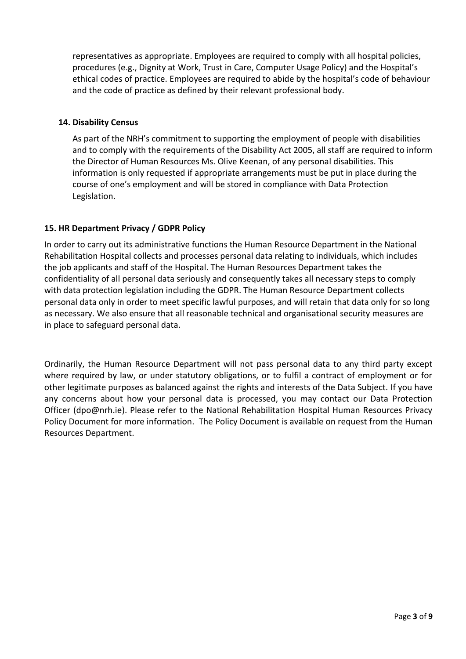representatives as appropriate. Employees are required to comply with all hospital policies, procedures (e.g., Dignity at Work, Trust in Care, Computer Usage Policy) and the Hospital's ethical codes of practice. Employees are required to abide by the hospital's code of behaviour and the code of practice as defined by their relevant professional body.

### **14. Disability Census**

As part of the NRH's commitment to supporting the employment of people with disabilities and to comply with the requirements of the Disability Act 2005, all staff are required to inform the Director of Human Resources Ms. Olive Keenan, of any personal disabilities. This information is only requested if appropriate arrangements must be put in place during the course of one's employment and will be stored in compliance with Data Protection Legislation.

## **15. HR Department Privacy / GDPR Policy**

In order to carry out its administrative functions the Human Resource Department in the National Rehabilitation Hospital collects and processes personal data relating to individuals, which includes the job applicants and staff of the Hospital. The Human Resources Department takes the confidentiality of all personal data seriously and consequently takes all necessary steps to comply with data protection legislation including the GDPR. The Human Resource Department collects personal data only in order to meet specific lawful purposes, and will retain that data only for so long as necessary. We also ensure that all reasonable technical and organisational security measures are in place to safeguard personal data.

Ordinarily, the Human Resource Department will not pass personal data to any third party except where required by law, or under statutory obligations, or to fulfil a contract of employment or for other legitimate purposes as balanced against the rights and interests of the Data Subject. If you have any concerns about how your personal data is processed, you may contact our Data Protection Officer [\(dpo@nrh.ie\)](mailto:dpo@nrh.ie). Please refer to the National Rehabilitation Hospital Human Resources Privacy Policy Document for more information. The Policy Document is available on request from the Human Resources Department.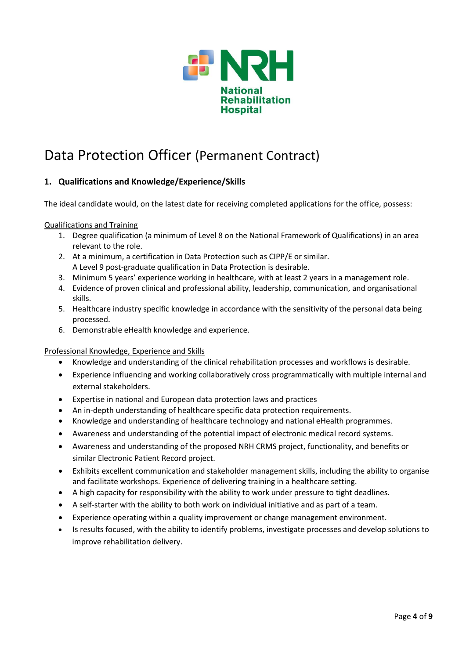

## Data Protection Officer (Permanent Contract)

## **1. Qualifications and Knowledge/Experience/Skills**

The ideal candidate would, on the latest date for receiving completed applications for the office, possess:

#### Qualifications and Training

- 1. Degree qualification (a minimum of Level 8 on the National Framework of Qualifications) in an area relevant to the role.
- 2. At a minimum, a certification in Data Protection such as CIPP/E or similar. A Level 9 post-graduate qualification in Data Protection is desirable.
- 3. Minimum 5 years' experience working in healthcare, with at least 2 years in a management role.
- 4. Evidence of proven clinical and professional ability, leadership, communication, and organisational skills.
- 5. Healthcare industry specific knowledge in accordance with the sensitivity of the personal data being processed.
- 6. Demonstrable eHealth knowledge and experience.

#### Professional Knowledge, Experience and Skills

- Knowledge and understanding of the clinical rehabilitation processes and workflows is desirable.
- Experience influencing and working collaboratively cross programmatically with multiple internal and external stakeholders.
- Expertise in national and European data protection laws and practices
- An in-depth understanding of healthcare specific data protection requirements.
- Knowledge and understanding of healthcare technology and national eHealth programmes.
- Awareness and understanding of the potential impact of electronic medical record systems.
- Awareness and understanding of the proposed NRH CRMS project, functionality, and benefits or similar Electronic Patient Record project.
- Exhibits excellent communication and stakeholder management skills, including the ability to organise and facilitate workshops. Experience of delivering training in a healthcare setting.
- A high capacity for responsibility with the ability to work under pressure to tight deadlines.
- A self-starter with the ability to both work on individual initiative and as part of a team.
- Experience operating within a quality improvement or change management environment.
- Is results focused, with the ability to identify problems, investigate processes and develop solutions to improve rehabilitation delivery.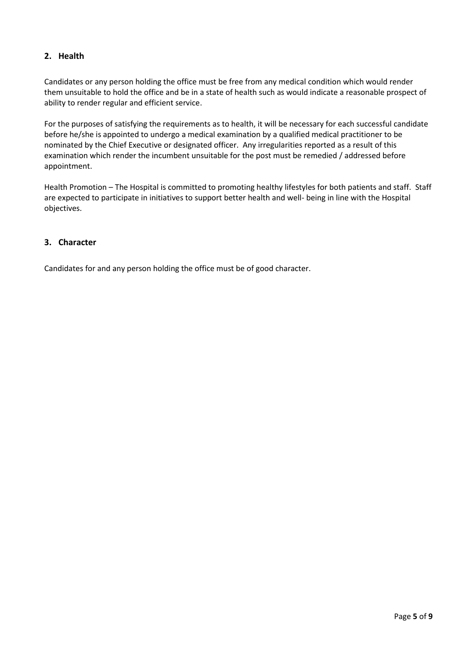## **2. Health**

Candidates or any person holding the office must be free from any medical condition which would render them unsuitable to hold the office and be in a state of health such as would indicate a reasonable prospect of ability to render regular and efficient service.

For the purposes of satisfying the requirements as to health, it will be necessary for each successful candidate before he/she is appointed to undergo a medical examination by a qualified medical practitioner to be nominated by the Chief Executive or designated officer. Any irregularities reported as a result of this examination which render the incumbent unsuitable for the post must be remedied / addressed before appointment.

Health Promotion – The Hospital is committed to promoting healthy lifestyles for both patients and staff. Staff are expected to participate in initiatives to support better health and well- being in line with the Hospital objectives.

### **3. Character**

Candidates for and any person holding the office must be of good character.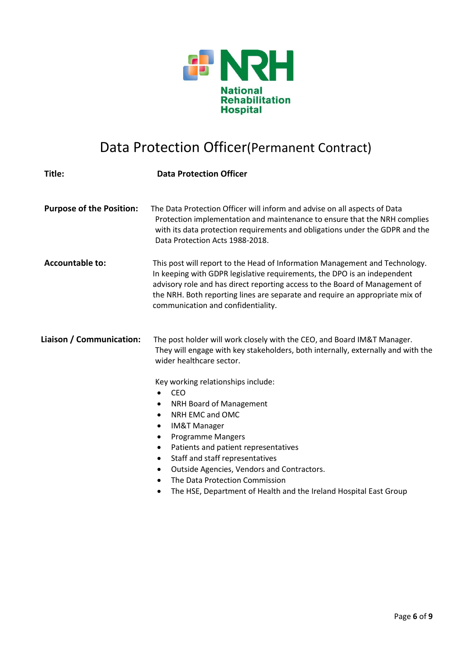

# Data Protection Officer(Permanent Contract)

| Title:                          | <b>Data Protection Officer</b>                                                                                                                                                                                                                                                                                                                                                                                                                                          |
|---------------------------------|-------------------------------------------------------------------------------------------------------------------------------------------------------------------------------------------------------------------------------------------------------------------------------------------------------------------------------------------------------------------------------------------------------------------------------------------------------------------------|
| <b>Purpose of the Position:</b> | The Data Protection Officer will inform and advise on all aspects of Data<br>Protection implementation and maintenance to ensure that the NRH complies<br>with its data protection requirements and obligations under the GDPR and the<br>Data Protection Acts 1988-2018.                                                                                                                                                                                               |
| <b>Accountable to:</b>          | This post will report to the Head of Information Management and Technology.<br>In keeping with GDPR legislative requirements, the DPO is an independent<br>advisory role and has direct reporting access to the Board of Management of<br>the NRH. Both reporting lines are separate and require an appropriate mix of<br>communication and confidentiality.                                                                                                            |
| Liaison / Communication:        | The post holder will work closely with the CEO, and Board IM&T Manager.<br>They will engage with key stakeholders, both internally, externally and with the<br>wider healthcare sector.                                                                                                                                                                                                                                                                                 |
|                                 | Key working relationships include:<br><b>CEO</b><br>$\bullet$<br>NRH Board of Management<br>٠<br>NRH EMC and OMC<br>٠<br><b>IM&amp;T Manager</b><br>٠<br><b>Programme Mangers</b><br>٠<br>Patients and patient representatives<br>٠<br>Staff and staff representatives<br>٠<br>Outside Agencies, Vendors and Contractors.<br>$\bullet$<br>The Data Protection Commission<br>$\bullet$<br>The HSE, Department of Health and the Ireland Hospital East Group<br>$\bullet$ |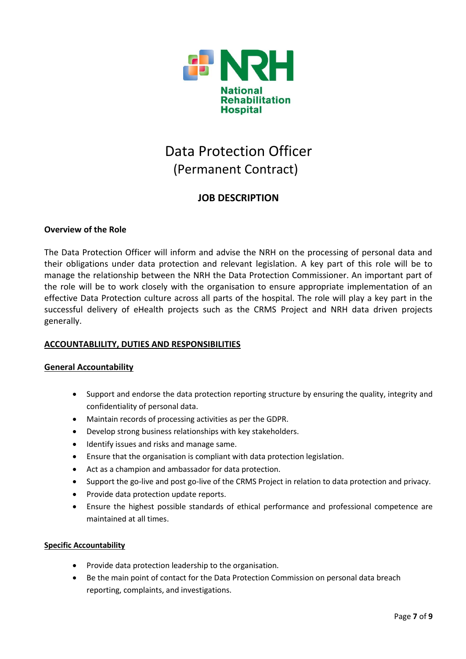

# Data Protection Officer (Permanent Contract)

## **JOB DESCRIPTION**

### **Overview of the Role**

The Data Protection Officer will inform and advise the NRH on the processing of personal data and their obligations under data protection and relevant legislation. A key part of this role will be to manage the relationship between the NRH the Data Protection Commissioner. An important part of the role will be to work closely with the organisation to ensure appropriate implementation of an effective Data Protection culture across all parts of the hospital. The role will play a key part in the successful delivery of eHealth projects such as the CRMS Project and NRH data driven projects generally.

#### **ACCOUNTABLILITY, DUTIES AND RESPONSIBILITIES**

#### **General Accountability**

- Support and endorse the data protection reporting structure by ensuring the quality, integrity and confidentiality of personal data.
- Maintain records of processing activities as per the GDPR.
- Develop strong business relationships with key stakeholders.
- Identify issues and risks and manage same.
- Ensure that the organisation is compliant with data protection legislation.
- Act as a champion and ambassador for data protection.
- Support the go-live and post go-live of the CRMS Project in relation to data protection and privacy.
- Provide data protection update reports.
- Ensure the highest possible standards of ethical performance and professional competence are maintained at all times.

#### **Specific Accountability**

- Provide data protection leadership to the organisation.
- Be the main point of contact for the Data Protection Commission on personal data breach reporting, complaints, and investigations.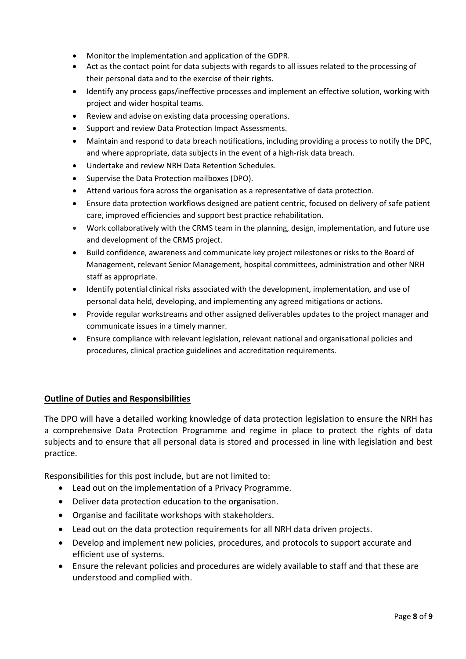- Monitor the implementation and application of the GDPR.
- Act as the contact point for data subjects with regards to all issues related to the processing of their personal data and to the exercise of their rights.
- Identify any process gaps/ineffective processes and implement an effective solution, working with project and wider hospital teams.
- Review and advise on existing data processing operations.
- Support and review Data Protection Impact Assessments.
- Maintain and respond to data breach notifications, including providing a process to notify the DPC, and where appropriate, data subjects in the event of a high-risk data breach.
- Undertake and review NRH Data Retention Schedules.
- Supervise the Data Protection mailboxes (DPO).
- Attend various fora across the organisation as a representative of data protection.
- Ensure data protection workflows designed are patient centric, focused on delivery of safe patient care, improved efficiencies and support best practice rehabilitation.
- Work collaboratively with the CRMS team in the planning, design, implementation, and future use and development of the CRMS project.
- Build confidence, awareness and communicate key project milestones or risks to the Board of Management, relevant Senior Management, hospital committees, administration and other NRH staff as appropriate.
- Identify potential clinical risks associated with the development, implementation, and use of personal data held, developing, and implementing any agreed mitigations or actions.
- Provide regular workstreams and other assigned deliverables updates to the project manager and communicate issues in a timely manner.
- Ensure compliance with relevant legislation, relevant national and organisational policies and procedures, clinical practice guidelines and accreditation requirements.

#### **Outline of Duties and Responsibilities**

The DPO will have a detailed working knowledge of data protection legislation to ensure the NRH has a comprehensive Data Protection Programme and regime in place to protect the rights of data subjects and to ensure that all personal data is stored and processed in line with legislation and best practice.

Responsibilities for this post include, but are not limited to:

- Lead out on the implementation of a Privacy Programme.
- Deliver data protection education to the organisation.
- Organise and facilitate workshops with stakeholders.
- Lead out on the data protection requirements for all NRH data driven projects.
- Develop and implement new policies, procedures, and protocols to support accurate and efficient use of systems.
- Ensure the relevant policies and procedures are widely available to staff and that these are understood and complied with.